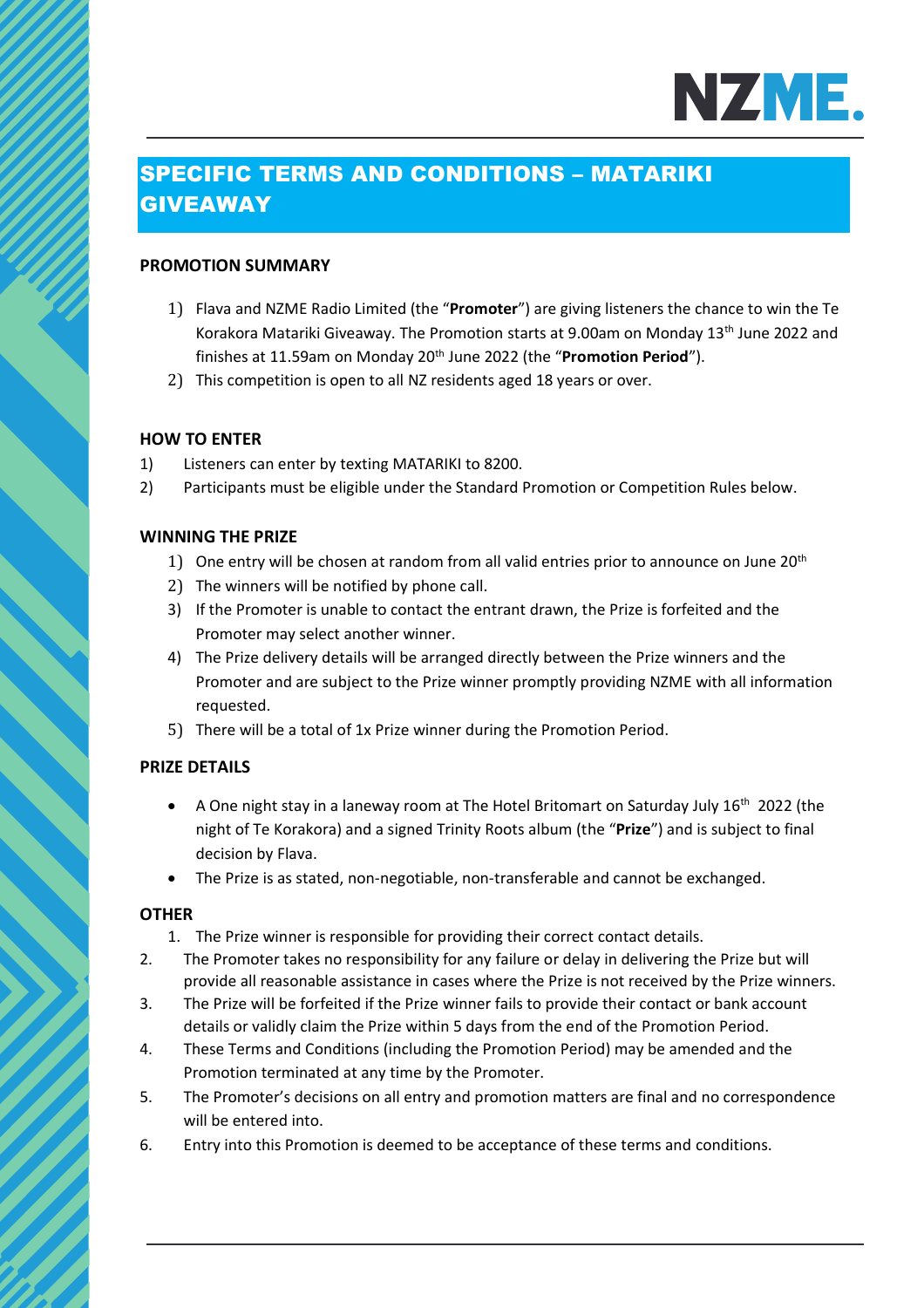

# SPECIFIC TERMS AND CONDITIONS – MATARIKI GIVEAWAY

### **PROMOTION SUMMARY**

- 1) Flava and NZME Radio Limited (the "**Promoter**") are giving listeners the chance to win the Te Korakora Matariki Giveaway. The Promotion starts at 9.00am on Monday 13th June 2022 and finishes at 11.59am on Monday 20th June 2022 (the "**Promotion Period**").
- 2) This competition is open to all NZ residents aged 18 years or over.

### **HOW TO ENTER**

- 1) Listeners can enter by texting MATARIKI to 8200.
- 2) Participants must be eligible under the Standard Promotion or Competition Rules below.

#### **WINNING THE PRIZE**

- 1) One entry will be chosen at random from all valid entries prior to announce on June  $20<sup>th</sup>$
- 2) The winners will be notified by phone call.
- 3) If the Promoter is unable to contact the entrant drawn, the Prize is forfeited and the Promoter may select another winner.
- 4) The Prize delivery details will be arranged directly between the Prize winners and the Promoter and are subject to the Prize winner promptly providing NZME with all information requested.
- 5) There will be a total of 1x Prize winner during the Promotion Period.

### **PRIZE DETAILS**

- A One night stay in a laneway room at The Hotel Britomart on Saturday July 16<sup>th</sup> 2022 (the night of Te Korakora) and a signed Trinity Roots album (the "**Prize**") and is subject to final decision by Flava.
- The Prize is as stated, non-negotiable, non-transferable and cannot be exchanged.

### **OTHER**

- 1. The Prize winner is responsible for providing their correct contact details.
- 2. The Promoter takes no responsibility for any failure or delay in delivering the Prize but will provide all reasonable assistance in cases where the Prize is not received by the Prize winners.
- 3. The Prize will be forfeited if the Prize winner fails to provide their contact or bank account details or validly claim the Prize within 5 days from the end of the Promotion Period.
- 4. These Terms and Conditions (including the Promotion Period) may be amended and the Promotion terminated at any time by the Promoter.
- 5. The Promoter's decisions on all entry and promotion matters are final and no correspondence will be entered into.
- 6. Entry into this Promotion is deemed to be acceptance of these terms and conditions.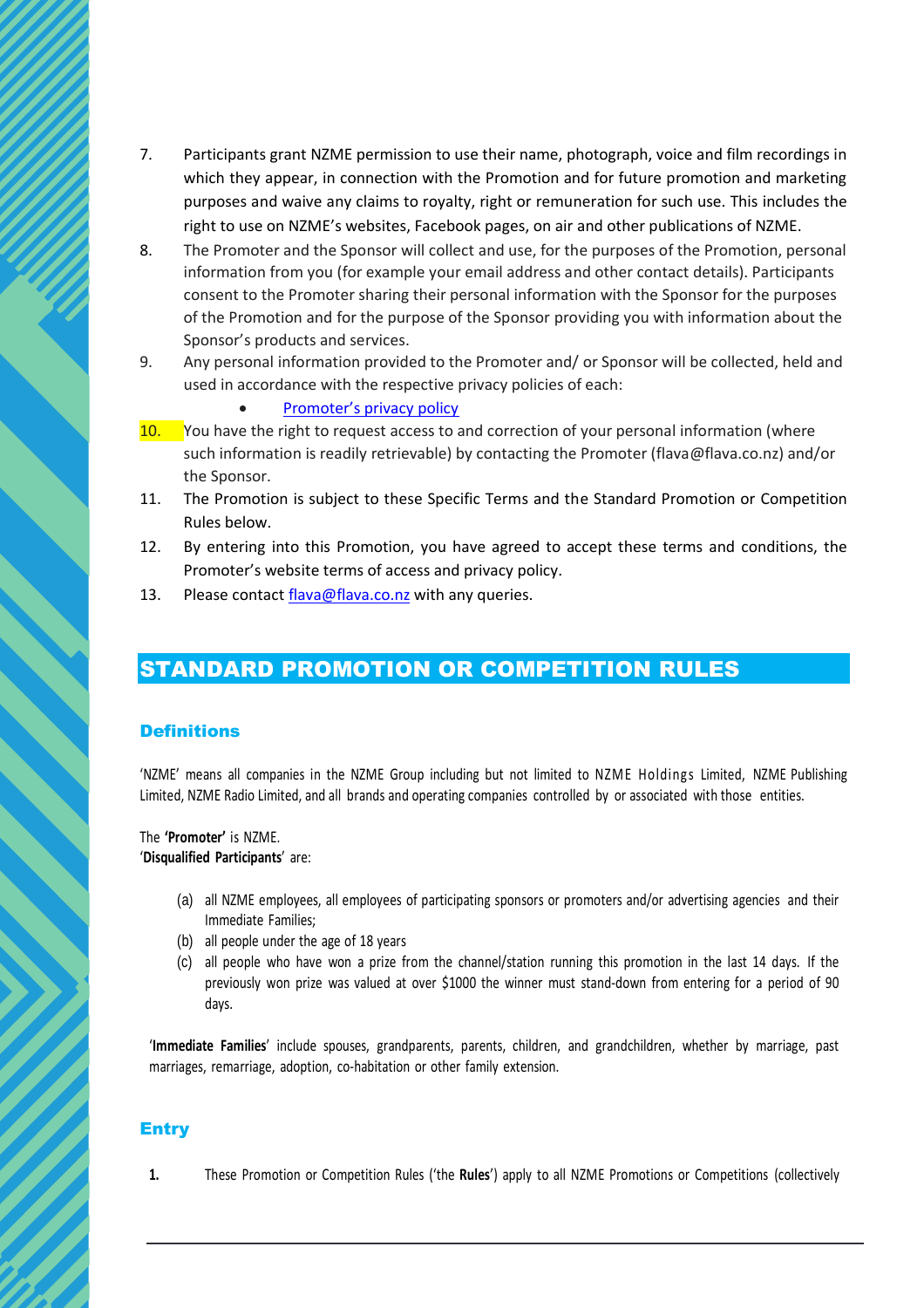- 7. Participants grant NZME permission to use their name, photograph, voice and film recordings in which they appear, in connection with the Promotion and for future promotion and marketing purposes and waive any claims to royalty, right or remuneration for such use. This includes the right to use on NZME's websites, Facebook pages, on air and other publications of NZME.
- 8. The Promoter and the Sponsor will collect and use, for the purposes of the Promotion, personal information from you (for example your email address and other contact details). Participants consent to the Promoter sharing their personal information with the Sponsor for the purposes of the Promotion and for the purpose of the Sponsor providing you with information about the Sponsor's products and services.
- 9. Any personal information provided to the Promoter and/ or Sponsor will be collected, held and used in accordance with the respective privacy policies of each:
	- [Promoter's privacy policy](https://www.nzme.co.nz/media/5ihfylhk/nzme-privacy-policy_may2021_v2.pdf)
- 10. You have the right to request access to and correction of your personal information (where such information is readily retrievable) by contacting the Promoter (flava@flava.co.nz) and/or the Sponsor.
- 11. The Promotion is subject to these Specific Terms and the Standard Promotion or Competition Rules below.
- 12. By entering into this Promotion, you have agreed to accept these terms and conditions, the Promoter's website terms of access and privacy policy.
- 13. Please contac[t flava@flava.co.nz](mailto:flava@flava.co.nz) with any queries.

# STANDARD PROMOTION OR COMPETITION RULES

## **Definitions**

'NZME' means all companies in the NZME Group including but not limited to NZME Holdings Limited, NZME Publishing Limited, NZME Radio Limited, and all brands and operating companies controlled by or associated with those entities.

The **'Promoter'** is NZME. '**Disqualified Participants**' are:

- (a) all NZME employees, all employees of participating sponsors or promoters and/or advertising agencies and their Immediate Families;
- (b) all people under the age of 18 years
- (c) all people who have won a prize from the channel/station running this promotion in the last 14 days. If the previously won prize was valued at over \$1000 the winner must stand-down from entering for a period of 90 days.

'**Immediate Families**' include spouses, grandparents, parents, children, and grandchildren, whether by marriage, past marriages, remarriage, adoption, co-habitation or other family extension.

## Entry

**1.** These Promotion or Competition Rules ('the **Rules**') apply to all NZME Promotions or Competitions (collectively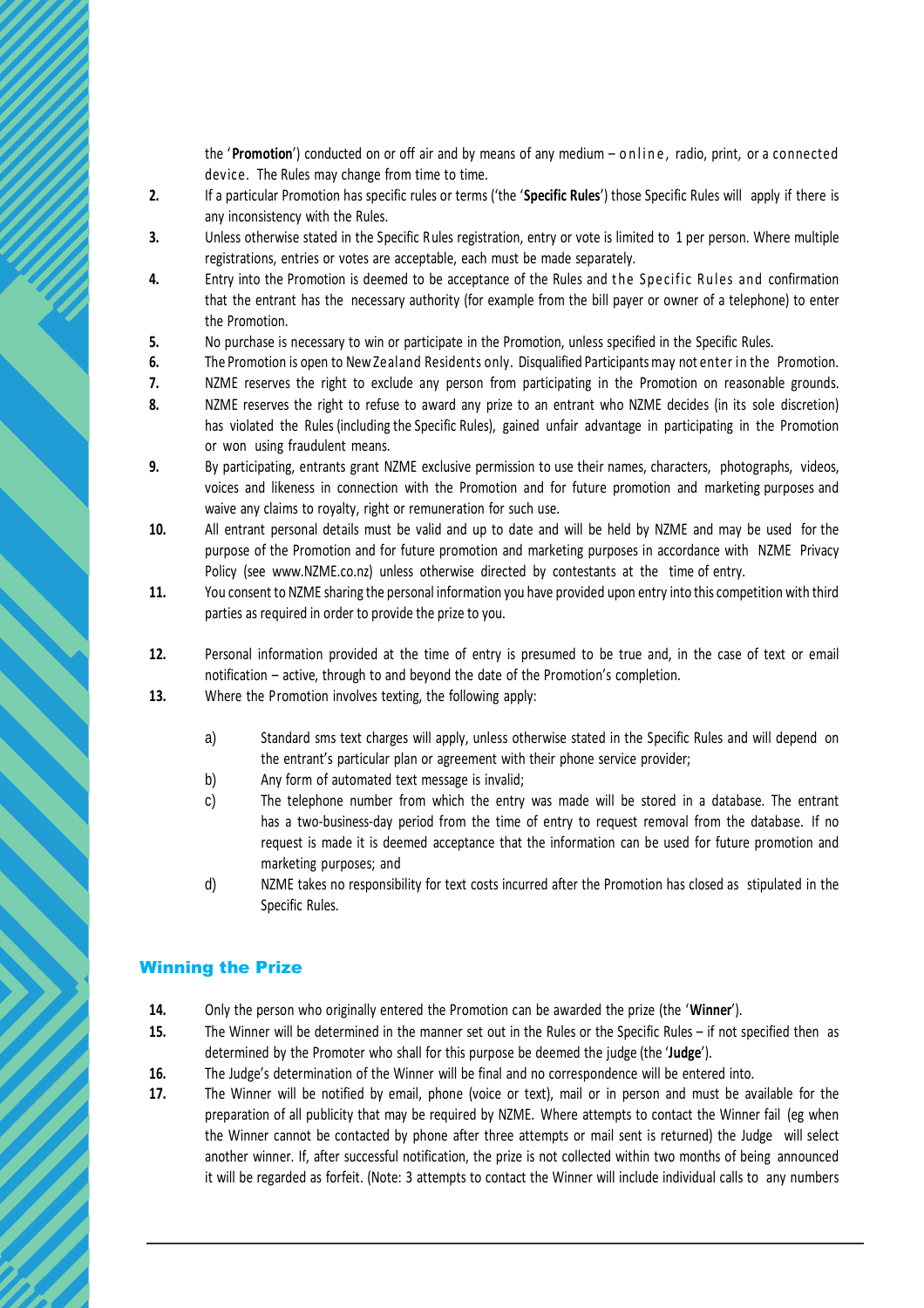the '**Promotion**') conducted on or off air and by means of any medium – online, radio, print, or a connected device. The Rules may change from time to time.

- **2.** If a particular Promotion has specific rules or terms ('the '**Specific Rules**') those Specific Rules will apply if there is any inconsistency with the Rules.
- **3.** Unless otherwise stated in the Specific Rules registration, entry or vote is limited to 1 per person. Where multiple registrations, entries or votes are acceptable, each must be made separately.
- **4.** Entry into the Promotion is deemed to be acceptance of the Rules and the Specific Rules and confirmation that the entrant has the necessary authority (for example from the bill payer or owner of a telephone) to enter the Promotion.
- **5.** No purchase is necessary to win or participate in the Promotion, unless specified in the Specific Rules.
- **6.** The Promotion is open to New Zealand Residents only. Disqualified Participants may not enter in the Promotion.
- **7.** NZME reserves the right to exclude any person from participating in the Promotion on reasonable grounds.
- **8.** NZME reserves the right to refuse to award any prize to an entrant who NZME decides (in its sole discretion) has violated the Rules (including the Specific Rules), gained unfair advantage in participating in the Promotion or won using fraudulent means.
- **9.** By participating, entrants grant NZME exclusive permission to use their names, characters, photographs, videos, voices and likeness in connection with the Promotion and for future promotion and marketing purposes and waive any claims to royalty, right or remuneration for such use.
- **10.** All entrant personal details must be valid and up to date and will be held by NZME and may be used for the purpose of the Promotion and for future promotion and marketing purposes in accordance with NZME Privacy Policy (see www.NZME.co.nz) unless otherwise directed by contestants at the time of entry.
- **11.** You consent to NZME sharing the personal information you have provided upon entry into this competition with third parties as required in order to provide the prize to you.
- **12.** Personal information provided at the time of entry is presumed to be true and, in the case of text or email notification – active, through to and beyond the date of the Promotion's completion.
- **13.** Where the Promotion involves texting, the following apply:
	- a) Standard sms text charges will apply, unless otherwise stated in the Specific Rules and will depend on the entrant's particular plan or agreement with their phone service provider;
	- b) Any form of automated text message is invalid;
	- c) The telephone number from which the entry was made will be stored in a database. The entrant has a two-business-day period from the time of entry to request removal from the database. If no request is made it is deemed acceptance that the information can be used for future promotion and marketing purposes; and
	- d) NZME takes no responsibility for text costs incurred after the Promotion has closed as stipulated in the Specific Rules.

### Winning the Prize

- **14.** Only the person who originally entered the Promotion can be awarded the prize (the '**Winner**').
- **15.** The Winner will be determined in the manner set out in the Rules or the Specific Rules if not specified then as determined by the Promoter who shall for this purpose be deemed the judge (the '**Judge**').
- **16.** The Judge's determination of the Winner will be final and no correspondence will be entered into.
- **17.** The Winner will be notified by email, phone (voice or text), mail or in person and must be available for the preparation of all publicity that may be required by NZME. Where attempts to contact the Winner fail (eg when the Winner cannot be contacted by phone after three attempts or mail sent is returned) the Judge will select another winner. If, after successful notification, the prize is not collected within two months of being announced it will be regarded as forfeit. (Note: 3 attempts to contact the Winner will include individual calls to any numbers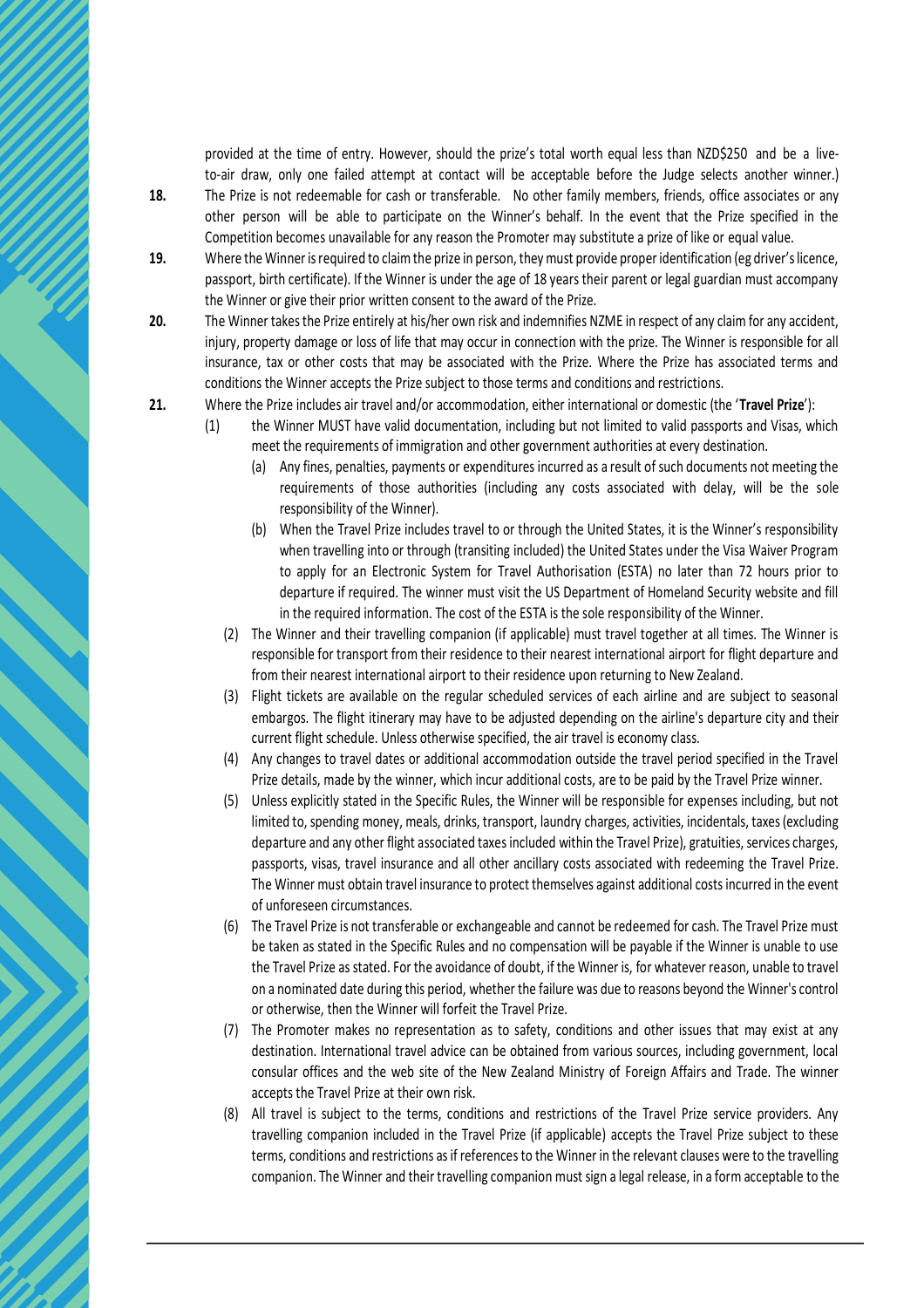provided at the time of entry. However, should the prize's total worth equal less than NZD\$250 and be a liveto-air draw, only one failed attempt at contact will be acceptable before the Judge selects another winner.)

- **18.** The Prize is not redeemable for cash or transferable. No other family members, friends, office associates or any other person will be able to participate on the Winner's behalf. In the event that the Prize specified in the Competition becomes unavailable for any reason the Promoter may substitute a prize of like or equal value.
- **19.** Where the Winner is required to claim the prize in person, they must provide proper identification (eg driver's licence, passport, birth certificate). If the Winner is under the age of 18 years their parent or legal guardian must accompany the Winner or give their prior written consent to the award of the Prize.
- **20.** The Winner takes the Prize entirely at his/her own risk and indemnifies NZME in respect of any claim for any accident, injury, property damage or loss of life that may occur in connection with the prize. The Winner is responsible for all insurance, tax or other costs that may be associated with the Prize. Where the Prize has associated terms and conditions the Winner accepts the Prize subject to those terms and conditions and restrictions.
- **21.** Where the Prize includes air travel and/or accommodation, either international or domestic (the '**Travel Prize**'):
	- (1) the Winner MUST have valid documentation, including but not limited to valid passports and Visas, which meet the requirements of immigration and other government authorities at every destination.
		- (a) Any fines, penalties, payments or expenditures incurred as a result of such documents not meeting the requirements of those authorities (including any costs associated with delay, will be the sole responsibility of the Winner).
		- (b) When the Travel Prize includes travel to or through the United States, it is the Winner's responsibility when travelling into or through (transiting included) the United States under the Visa Waiver Program to apply for an Electronic System for Travel Authorisation (ESTA) no later than 72 hours prior to departure if required. The winner must visit the US Department of Homeland Security website and fill in the required information. The cost of the ESTA is the sole responsibility of the Winner.
		- (2) The Winner and their travelling companion (if applicable) must travel together at all times. The Winner is responsible for transport from their residence to their nearest international airport for flight departure and from their nearest international airport to their residence upon returning to New Zealand.
		- (3) Flight tickets are available on the regular scheduled services of each airline and are subject to seasonal embargos. The flight itinerary may have to be adjusted depending on the airline's departure city and their current flight schedule. Unless otherwise specified, the air travel is economy class.
		- (4) Any changes to travel dates or additional accommodation outside the travel period specified in the Travel Prize details, made by the winner, which incur additional costs, are to be paid by the Travel Prize winner.
		- (5) Unless explicitly stated in the Specific Rules, the Winner will be responsible for expenses including, but not limited to, spending money, meals, drinks, transport, laundry charges, activities, incidentals, taxes (excluding departure and any other flight associated taxes included within the Travel Prize), gratuities, services charges, passports, visas, travel insurance and all other ancillary costs associated with redeeming the Travel Prize. The Winner must obtain travel insurance to protect themselves against additional costs incurred in the event of unforeseen circumstances.
		- (6) The Travel Prize is not transferable or exchangeable and cannot be redeemed for cash. The Travel Prize must be taken as stated in the Specific Rules and no compensation will be payable if the Winner is unable to use the Travel Prize as stated. For the avoidance of doubt, if the Winner is, for whatever reason, unable to travel on a nominated date during this period, whether the failure was due to reasons beyond the Winner's control or otherwise, then the Winner will forfeit the Travel Prize.
		- (7) The Promoter makes no representation as to safety, conditions and other issues that may exist at any destination. International travel advice can be obtained from various sources, including government, local consular offices and the web site of the New Zealand Ministry of Foreign Affairs and Trade. The winner accepts the Travel Prize at their own risk.
		- (8) All travel is subject to the terms, conditions and restrictions of the Travel Prize service providers. Any travelling companion included in the Travel Prize (if applicable) accepts the Travel Prize subject to these terms, conditions and restrictions as if references to the Winner in the relevant clauses were to the travelling companion. The Winner and their travelling companion must sign a legal release, in a form acceptable to the